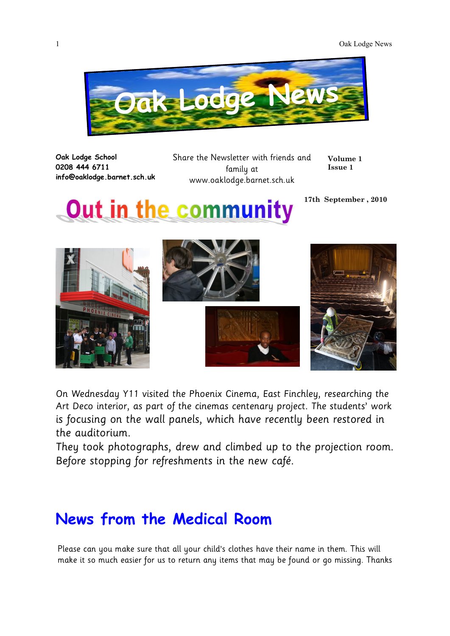

**Oak Lodge School 0208 444 6711 info@oaklodge.barnet.sch.uk** Share the Newsletter with friends and family at www.oaklodge.barnet.sch.uk

**17th September , 2010**

**Volume 1 Issue 1**

## **Out in the community**

On Wednesday Y11 visited the Phoenix Cinema, East Finchley, researching the Art Deco interior, as part of the cinemas centenary project. The students' work is focusing on the wall panels, which have recently been restored in the auditorium.

They took photographs, drew and climbed up to the projection room. Before stopping for refreshments in the new café.

## **News from the Medical Room**

Please can you make sure that all your child's clothes have their name in them. This will make it so much easier for us to return any items that may be found or go missing. Thanks